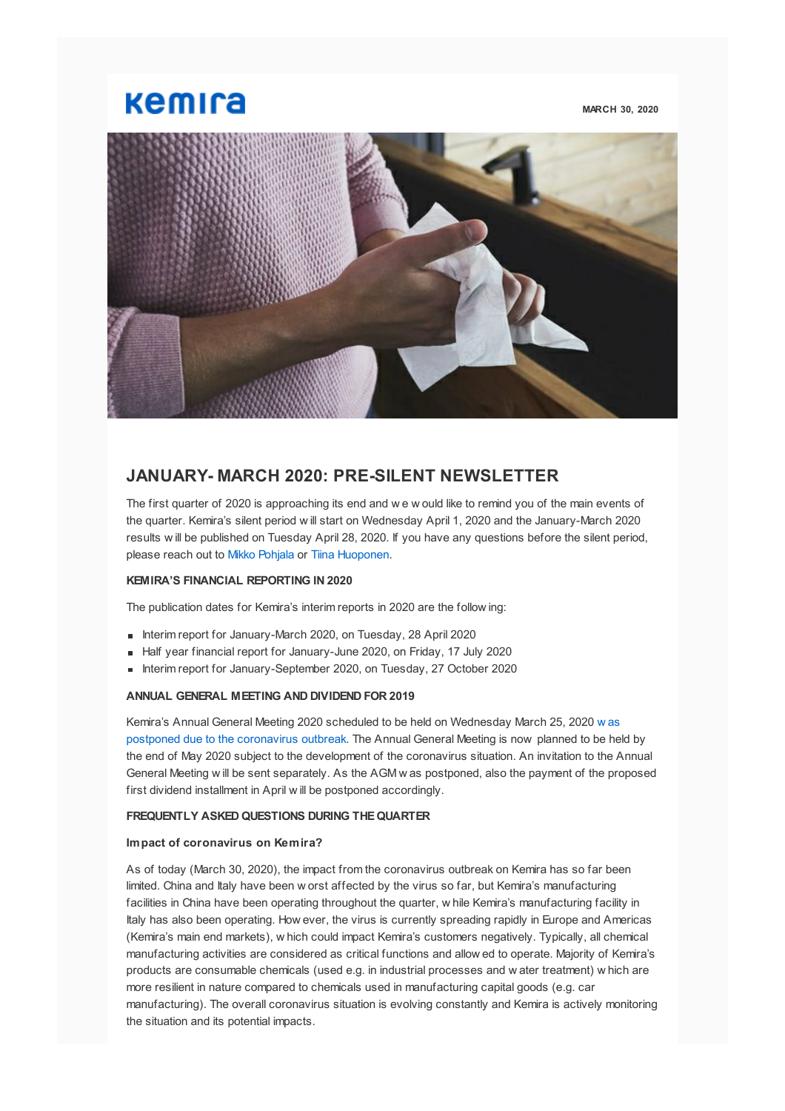# **Kemira**

**MARCH 30, 2020**



# **JANUARY-MARCH 2020: PRE-SILENT NEWSLETTER**

The first quarter of 2020 is approaching its end and we w ould like to remind you of the main events of the quarter. Kemira's silent period w ill start on Wednesday April 1, 2020 and the January-March 2020 results will be published on Tuesday April 28, 2020. If you have any questions before the silent period, please reach out to Mikko Pohjala or Tiina Huoponen.

# **KEMIRA'S FINANCIAL REPORTING IN 2020**

The publication dates for Kemira's interim reports in 2020 are the follow ing:

- Interim report for January-March 2020, on Tuesday, 28 April 2020
- Half year financial report for January-June 2020, on Friday, 17 July 2020
- Interim report for January-September 2020, on Tuesday, 27 October 2020

# **ANNUAL GENERAL MEETING AND DIVIDEND FOR 2019**

Kemira's Annual General Meeting 2020 scheduled to be held on Wednesday March 25, 2020 w as postponed due to the coronavirus outbreak. The Annual General Meeting is now planned to be held by the end of May 2020 subject to the development of the coronavirus situation. An invitation to the Annual General Meeting w ill be sent separately. As the AGM w as postponed, also the payment of the proposed first dividend installment in April w ill be postponed accordingly.

#### **FREQUENTLY ASKED QUESTIONS DURING THE QUARTER**

#### **Impact of coronavirus on Kemira?**

As of today (March 30, 2020), the impact from the coronavirus outbreak on Kemira has so far been limited. China and Italy have been w orst affected by the virus so far, but Kemira's manufacturing facilities in China have been operating throughout the quarter, w hile Kemira's manufacturing facility in Italy has also been operating. How ever, the virus is currently spreading rapidly in Europe and Americas (Kemira's main end markets), w hich could impact Kemira's customers negatively. Typically, all chemical manufacturing activities are considered as critical functions and allow ed to operate. Majority of Kemira's products are consumable chemicals (used e.g. in industrial processes and w ater treatment) w hich are more resilient in nature compared to chemicals used in manufacturing capital goods (e.g. car manufacturing). The overall coronavirus situation is evolving constantly and Kemira is actively monitoring the situation and its potential impacts.